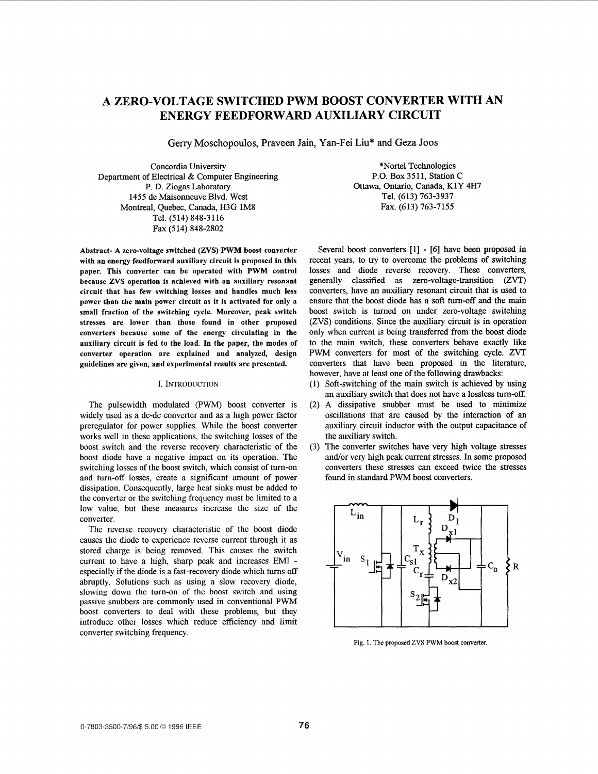# **A ZERO-VOLTAGE SWITCHED PWM BOOST CONVERTER WITH AN ENERGY FEEDFORWARD AUXILIARY CIRCUIT**

Gerry Moschopoulos, Praveen Jain, Yan-Fei Liu\* and Geza Joos

Concordia University Department of Electrical & Computer Engineering **P.** D. Ziogas Laboratory 1455 de Maisonneuve Blvd. West Montreal, Quebec, Canada, H3G 1M8 Tel. (5 14) 848-3 116 Fax (514) 848-2802

\*Nortel Technologies P.O. Box 3511, Station C Ottawa, Ontario, Canada, K1Y 4H7 Tel. (613) 763-3937 **Fa.** (613) 763-7155

**Abstract- A zero-voltage switched (ZVS) PWM boost converter with an energy feedforward auxiliary circuit is proposed in this paper. This converter can be operated with PWM control because ZVS operation is achieved with an auxiliary resonant circuit that has few switching losses and handles much less power than the main power circuit as it is activated for only a small fraction of the switching cycle. Moreover, peak switch stresses are lower than those found in other proposed converters because some of the energy circulating in the auxiliary circuit is fed to the load. In the paper, the modes of converter operation are explained and analyzed, design guidelines are given, and experimental results are presented.** 

# **1.** INTRODUCTION

The pulsewidth modulated (PWM) boost converter is widely used as a dc-dc converter and as a high power factor preregulator for power supplies. While the boost converter works well in these applications, the switching losses of the boost switch and the reverse recovery characteristic of the boost diode have a negative impact on its operation. The switching losses of the boost switch, which consist of turn-on and turn-off losses, create a significant amount of power dissipation. Consequently, large heat sinks must be added to the converter or the switching frequency must be limited to a low value, but these measures increase the size of the converter.

The reverse recovery characteristic of the boost diode causes the diode to experience reverse current through it as stored charge is being removed. This causes the switch current to have a high, sharp peak and increases EMI especially if the diode **is** a fast-recovery diode which turns off abruptly. Solutions such as using a slow recovery diode, slowing down the turn-on of the **boost** switch and **using**  passive snubbers are commonly used in conventional PWM boost converters to deal with these problems, but they introduce other losses which reduce efficiency and limit converter switching frequency.

Several boost converters [l] - [6] have been proposed **in**  recent years, to try to overcome the problems of switching losses and diode reverse recovery. These converters, generally classified **as** zero-voltage-transition (ZVT) converters, have an auxiliary resonant circuit that is used to ensure that the boost diode has a soft turn-off and the main boost switch is turned on under zero-voltage switching (ZVS) conditions. Since the auxiliary circuit is in operation only when current is being transferred from the boost diode to the main switch, these converters behave exactly like PWM converters for most of the switching cycle. ZVT converters that have been proposed in the literature, however, have at least one of the following drawbacks:

- (1) Soft-switching of the main switch is achieved by using an auxiliary switch that does not have a lossless **turn-off.**
- (2) **A** dissipative snubber must be used to minimize oscillations that are caused by the interaction of an auxiliary circuit inductor with the output capacitance of the auxiliary switch.
- (3) The converter switches have very high voltage stresses and/or very high **peak** current stresses. In some proposed converters these stresses can exceed twice the stresses found in standard PWM boost converters.



**Fig.** 1. The **proposed ZVS PWM boost converter.**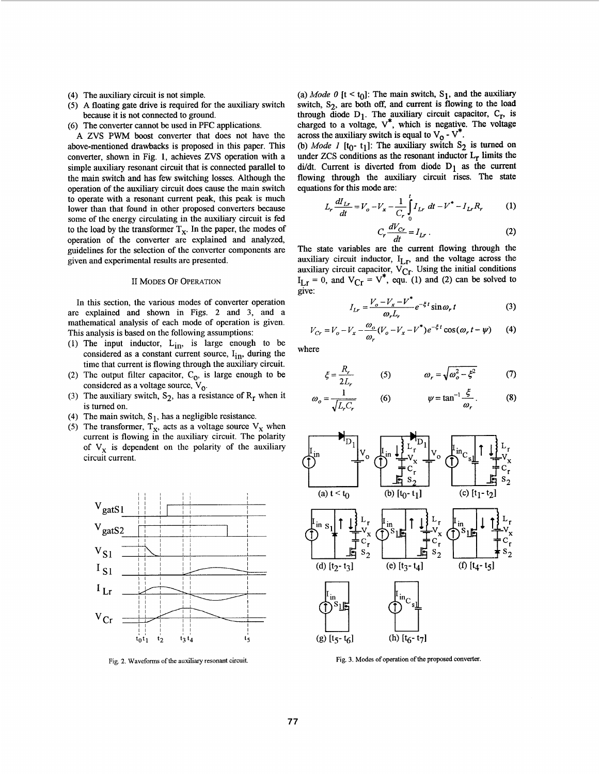- **(4)** The auxiliary circuit is not simple.
- (5) A floating gate drive is required for the auxiliary switch because it is not connected to ground.
- (6) The converter cannot be used in PFC applications.

A ZVS PWM boost converter that does not have the above-mentioned drawbacks is proposed in this paper. This converter, shown in Fig. 1, achieves ZVS operation with a simple auxiliary resonant circuit that is connected parallel to the main switch and has few switching losses. Although the operation of the auxiliary circuit does cause the main switch to operate with a resonant current *peak,* this *peak* is much lower than that found in other proposed converters because some of the energy circulating in the auxiliary circuit is fed to the load by the transformer  $T<sub>X</sub>$ . In the paper, the modes of operation of the converter are explained and analyzed, guidelines for the selection of the converter components are given and experimental results are presented.

## 11 MODES **OF** OPERATION

In this section, the various modes of converter operation are explained and shown in Figs. 2 and 3, and a mathematical analysis of each mode of operation is given. This analysis is based on the following assumptions:

- (1) The input inductor,  $L_{in}$ , is large enough to be considered as a constant current source,  $I_{in}$ , during the time that current is flowing through the auxiliary circuit.
- (2) The output filter capacitor,  $C_0$ , is large enough to be considered as a voltage source,  $V_0$ .
- (3) The auxiliary switch,  $S_2$ , has a resistance of  $R_r$  when it is turned on.
- (4) The main switch,  $S_1$ , has a negligible resistance.
- (5) The transformer,  $T_x$ , acts as a voltage source  $V_x$  when current is flowing in the auxiliary circuit. The polarity of  $V_x$  is dependent on the polarity of the auxiliary circuit current.



**Fig. 2. Waveforms of the auxiliary resonant circuit** 

(a) Mode 0  $[t < t_0]$ : The main switch, S<sub>1</sub>, and the auxiliary switch, S<sub>2</sub>, are both off, and current is flowing to the load through diode  $D_1$ . The auxiliary circuit capacitor,  $C_r$ , is charged to a voltage, V\*, which is negative. The voltage across the auxiliary switch is equal to  $V_0$  -  $V^*$ .

(b) Mode 1  $[t_0 - t_1]$ : The auxiliary switch  $S_2$  is turned on under ZCS conditions **as** the resonant inductor **Lr** limits the di/dt. Current is diverted from diode D1 **as** the current flowing through the auxiliary circuit rises. The state equations for this mode are:

$$
L_r \frac{dI_{Lr}}{dt} = V_o - V_x - \frac{1}{C_r} \int_0^t I_{Lr} dt - V^* - I_{Lr} R_r
$$
 (1)

$$
C_r \frac{dV_{Cr}}{dt} = I_{Lr} \tag{2}
$$

The state variables are the current flowing through the auxiliary circuit inductor,  $I_{LT}$ , and the voltage across the auxiliary circuit capacitor,  $V_{Cr}$ . Using the initial conditions  $I_{LT} = 0$ , and  $V_{CT} = V^*$ , equ. (1) and (2) can be solved to give:

$$
I_{Lr} = \frac{V_o - V_x - V^*}{\omega_r L_r} e^{-\xi t} \sin \omega_r t
$$
 (3)

$$
V_{Cr} = V_o - V_x - \frac{\omega_o}{\omega_r} (V_o - V_x - V^*) e^{-\xi t} \cos(\omega_r t - \psi)
$$
 (4)

where

$$
\xi = \frac{R_r}{2L_r} \qquad (5) \qquad \omega_r = \sqrt{\omega_o^2 - \xi^2} \qquad (7)
$$

$$
\omega_o = \frac{1}{\sqrt{L_r C_r}} \qquad (6) \qquad \psi = \tan^{-1} \frac{\xi}{\omega_r} \,.
$$
 (8)



Fig. **3. Modes of operation** of **the proposed converter.**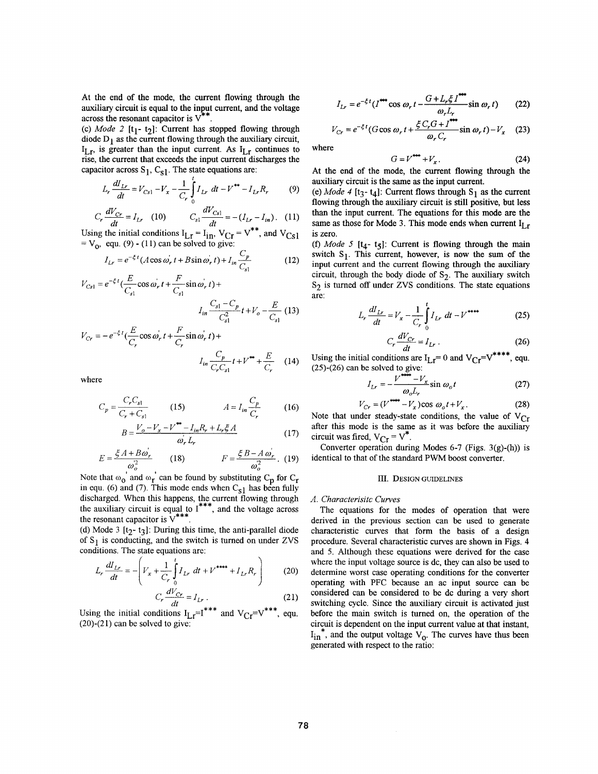At the end of the mode, the current flowing through the auxiliary circuit is equal to the input current, and the voltage across the resonant capacitor is  $V^*$ <sup>\*\*</sup>.

(c) Mode 2 [t<sub>1</sub>- t<sub>2</sub>]: Current has stopped flowing through diode  $D_1$  as the current flowing through the auxiliary circuit,  $I_{I,r}$ , is greater than the input current. As  $I_{I,r}$  continues to rise, the current that exceeds the input current discharges the capacitor across  $S_1$ ,  $C_{S_1}$ . The state equations are:

$$
L_r \frac{dI_{Lr}}{dt} = V_{Cs1} - V_x - \frac{1}{C_r} \int_0^r I_{Lr} dt - V^{**} - I_{Lr} R_r
$$
 (9)

$$
C_r \frac{dV_{Cr}}{dt} = I_{Lr} \quad (10) \qquad C_{s1} \frac{dV_{Cs1}}{dt} = -(I_{Lr} - I_{in}). \quad (11)
$$

Using the initial conditions  $I_{LT} = I_{in}$ ,  $V_{Cr} = V^{**}$ , and  $V_{Cs1}$  $= V_0$ , equ. (9) - (11) can be solved to give:

$$
I_{Lr} = e^{-\xi t} (A\cos\omega_r t + B\sin\omega_r t) + I_{in} \frac{C_p}{C_{s1}}
$$
(12)

$$
I_{Lr} = e^{-\xi t} (A \cos \omega_r t + B \sin \omega_r t) + I_{in} \frac{V}{C_{s1}} \tag{12}
$$
  

$$
V_{Cs1} = e^{-\xi t} (\frac{E}{C_{s1}} \cos \omega_r t + \frac{F}{C_{s1}} \sin \omega_r t) +
$$
  

$$
I_{in} \frac{C_{s1} - C_p}{C_{s1}^2} t + V_o - \frac{E}{C_{s1}} \tag{13}
$$
  

$$
V_{Cr} = -e^{-\xi t} (\frac{E}{C_r} \cos \omega_r t + \frac{F}{C_r} \sin \omega_r t) +
$$
  

$$
I_{in} \frac{C_p}{C_r C_{s1}} t + V^* + \frac{E}{C_r} \tag{14}
$$

where

$$
C_p = \frac{C_r C_{s1}}{C_r + C_{s1}} \qquad (15) \qquad A = I_{in} \frac{C_p}{C_r} \qquad (16)
$$

$$
B = \frac{V_o - V_x - V^{**} - I_{in}R_r + L_r \xi A}{\omega_r L_r}
$$
 (17)

$$
E = \frac{\xi A + B\omega_r}{\omega_o^2} \qquad (18) \qquad F = \frac{\xi B - A\omega_r}{\omega_o^2} \qquad (19)
$$

Note that  $\omega_0$  and  $\omega_r$  can be found by substituting C<sub>p</sub> for C<sub>r</sub> in equ. (6) and (7). This mode ends when  $C_{s1}$  has been fully discharged. When this happens, the current flowing through the auxiliary circuit is equal to  $I^{***}$ , and the voltage across the resonant capacitor is  $V^{***}$ 

(d) Mode 3  $[t_2-t_3]$ : During this time, the anti-parallel diode of  $S_1$  is conducting, and the switch is turned on under ZVS conditions. The state equations are:

$$
L_r \frac{dI_{Lr}}{dt} = -\left(V_x + \frac{1}{C_r} \int_0^r I_{Lr} dt + V^{****} + I_{Lr} R_r\right)
$$
(20)

$$
C_r \frac{dV_{Cr}}{dt} = I_{Lr}.
$$
\n(21)

\nconditions L = T<sup>\*\*\*</sup> and V<sub>Q</sub> = V<sup>\*\*\*</sup> <sup>2</sup> <sup>2</sup>

Using the initial conditions  $I_{LT} = I^{***}$  and  $V_{CT} = V^{***}$ , equ.  $(20)-(21)$  can be solved to give:

$$
I_{Lr} = e^{-\xi t} (I^{\bullet\bullet} \cos \omega_r t - \frac{G + L_r \xi I^{\bullet\bullet}}{\omega_r L_r} \sin \omega_r t)
$$
 (22)

$$
V_{Cr} = e^{-\xi t} (G\cos\omega_r t + \frac{\xi C_r G + I^{***}}{\omega_r C_r} \sin\omega_r t) - V_x \quad (23)
$$

where

$$
G = V^{***} + V_x. \tag{24}
$$

At the end of the mode, the current flowing through the auxiliary circuit is the same **as** the input current.

(e) Mode 4 [t<sub>3</sub>-t<sub>4</sub>]: Current flows through  $S_1$  as the current flowing through the auxiliary circuit is still positive, but less than the input current. The equations for this mode are the same as those for Mode 3. This mode ends when current  $I_{I,r}$ is **zero.** 

(f) Mode 5  $[t_4 - t_5]$ : Current is flowing through the main switch S<sub>1</sub>. This current, however, is now the sum of the input current and the current flowing through the auxiliary circuit, through the body diode of  $S_2$ . The auxiliary switch  $S<sub>2</sub>$  is turned off under ZVS conditions. The state equations are :

$$
L_r \frac{dI_{Lr}}{dt} = V_x - \frac{1}{C_r} \int_0^t I_{Lr} dt - V^{***}
$$
 (25)

$$
C_r \frac{dV_{Cr}}{dt} = I_{Lr} \,. \tag{26}
$$

Using the initial conditions are  $I_{LT} = 0$  and  $V_{Cr} = V^{T+TT}$ , equ.  $(25)-(26)$  can be solved to give:

$$
I_{Lr} = -\frac{V^{\text{max}} - V_x}{\omega_o L_r} \sin \omega_o t \tag{27}
$$

$$
V_{Cr} = (V^{***} - V_x)\cos \omega_o t + V_x.
$$
 (28)  
under steady-state conditions, the value of V\_{Cr}

Note that after this mode is the same as it was before the auxiliary circuit was fired,  $V_{Cr} = V^*$ .

Converter operation during Modes 6-7 (Figs. 3(g)-(h)) is identical to that of the standard PWM boost converter.

### 111. DESIGN GUIDELINES

*A.* Characterisitc Curves

The equations for the modes of operation that were derived in the previous section can be used to generate characteristic curves that form the basis of a design procedure. Several characteristic curves are shown in Figs. 4 and **5.** Although these equations were derived for the case where the input voltage source is dc, they can also be used to determine worst case operating conditions for the converter operating with PFC because an ac input source can be considered can be considered to be dc during a very short switching cycle. Since the auxiliary circuit is activated just before the main switch is turned on, the operation of the circuit is dependent on the input current value at that instant,  $I_{in}^*$ , and the output voltage  $V_0$ . The curves have thus been generated with respect to the ratio: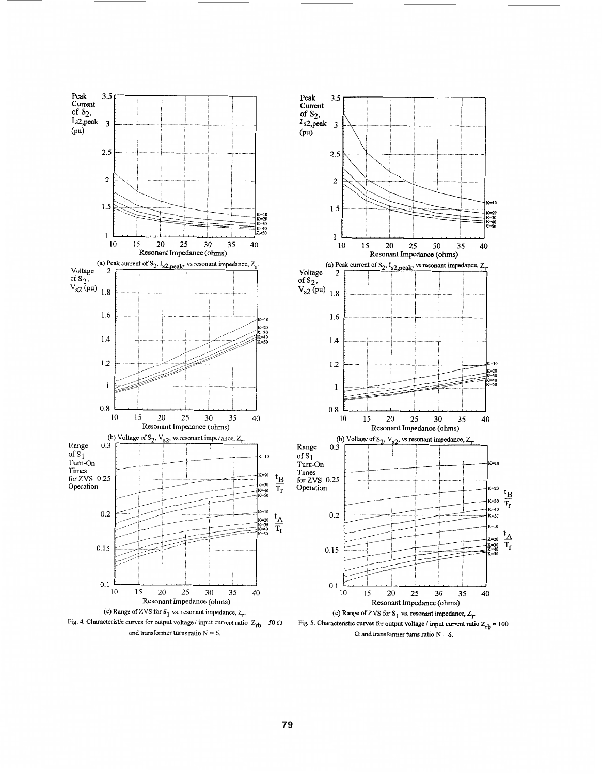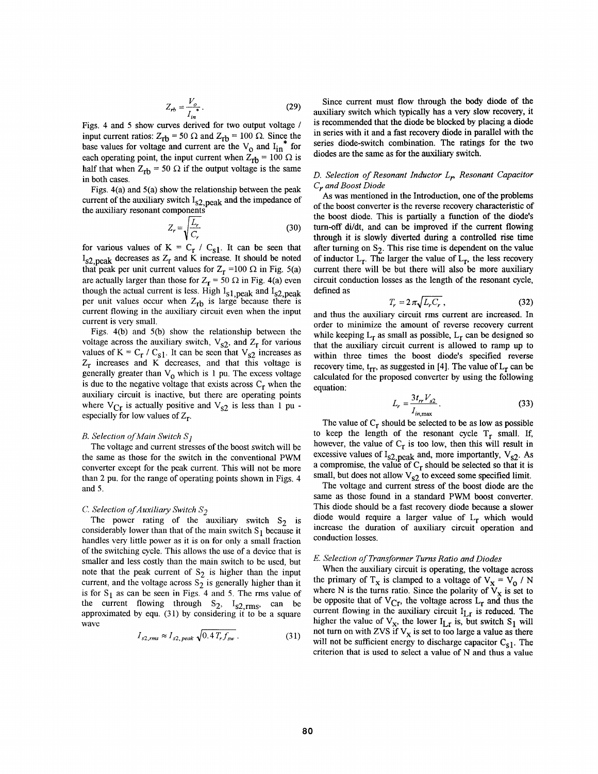$$
Z_{rb} = \frac{V_o}{I_{in}^*}. \tag{29}
$$

Figs. 4 and **S** show curves derived for two output voltage / input current ratios:  $Z_{rb} = 50 \Omega$  and  $Z_{rb} = 100 \Omega$ . Since the base values for voltage and current are the  $V_0$  and  $I_{in}$ <sup>+</sup> for each operating point, the input current when  $Z_{rb} = 100 \Omega$  is half that when  $Z_{rh} = 50 \Omega$  if the output voltage is the same in both cases.

Figs. 4(a) and 5(a) show the relationship between the peak current of the auxiliary switch  $I_{s2,peak}$  and the impedance of the auxiliary resonant components

$$
Z_r = \sqrt{\frac{L_r}{C_r}}
$$
 (30)

for various values of  $K = C_r / C_{s1}$ . It can be seen that  $I_{S2,peak}$  decreases as  $Z_r$  and K increase. It should be noted that peak per unit current values for  $Z_r = 100 \Omega$  in Fig. 5(a) are actually larger than those for  $Z_r = 50 \Omega$  in Fig. 4(a) even though the actual current is less. High  $I_{s1,peak}$  and  $I_{s2,peak}$ per unit values occur when  $Z_{rb}$  is large because there is current flowing in the auxiliary circuit even when the input current is very small.

Figs. 40) and **50)** show the relationship between the voltage across the auxiliary switch,  $V_{s2}$ , and  $Z_r$  for various values of K =  $C_r$  /  $C_{s1}$ . It can be seen that  $V_{s2}$  increases as  $Z_r$  increases and K decreases, and that this voltage is generally greater than  $V_0$  which is 1 pu. The excess voltage is due to the negative voltage that exists across  $C_r$  when the auxiliary circuit is inactive, but there are operating points where  $V_{\text{Cr}}$  is actually positive and  $V_{\text{S2}}$  is less than 1 pu especially for low values of  $Z_r$ .

## *B. Selection ofMain Switch SI*

The voltage and current stresses of the boost switch will be the same as those for the switch in the conventional PWM converter except for the peak current. This will not be more than 2 pu. for the range of operating points shown in Figs. 4 and **S.** 

## *C. Selection ofAuxiliaty Switch S,*

The power rating of the auxiliary switch  $S_2$  is considerably lower than that of the main switch  $S_1$  because it handles very little power as it is on for only a small fraction of the switching cycle. This allows the use of a device that is smaller and less costly than the main switch to be used, but note that the peak current of  $S_2$  is higher than the input current, and the voltage across  $S_2$  is generally higher than it is for S1 as can be seen in Figs. 4 and **5.** The rms value of the current flowing through  $S_2$ ,  $I_s$ <sub>rms</sub>, can be approximated by equ. (31) by considering it to be a square wave *Is* voltage across  $S_2$  is generally mighter than it<br> *I* be seen in Figs. 4 and 5. The rms value of<br>
flowing through  $S_2$ ,  $I_{S2,rms}$ , can be<br> *Is* quelection is to be a square<br> *I<sub>s2,rms</sub>*  $\approx I_{s2,peak} \sqrt{0.4 T_r f_{sw}}$ . (31

$$
I_{s2,rms} \approx I_{s2, peak} \sqrt{0.4 T_r f_{sw}} \,. \tag{31}
$$

Since current must flow through the **body** diode **of** the auxiliary switch which typically has a very slow recovery, it is recommended that the diode be blocked by placing a diode in series with it and a fast recovery diode **in** parallel with the series diode-switch combination. The ratings for the two diodes are the same as for the auxiliary switch.

# *D. Selection of Resonant Inductor L, Resonant Capacitor Cr and Boost Diode*

**As** was mentioned in the Introduction, one of the problems of the boost converter is the reverse recovery characteristic of the boost diode. This is partially a function of the diode's turn-off di/dt, and can be improved if the current flowing through it is slowly diverted during a controlled rise time after turning on  $S_2$ . This rise time is dependent on the value of inductor  $L_r$ . The larger the value of  $L_r$ , the less recovery current there will be but there will also be more auxiliary circuit conduction losses as the length of the resonant cycle, defined as

$$
T_r = 2\pi \sqrt{L_r C_r} \,,\tag{32}
$$

and thus the auxiliary circuit rms current are increased. In order to minimize the amount of reverse recovery current while keeping  $L_r$  as small as possible,  $L_r$  can be designed so that the auxiliary circuit current is allowed to ramp up to within three times the boost diode's specified reverse recovery time,  $t_{rr}$ , as suggested in [4]. The value of  $L_r$  can be calculated for the proposed converter by using the fo!lowing equation:

$$
L_r = \frac{3t_{rr}V_{s2}}{I_{in,max}}.\tag{33}
$$

The value of  $C_r$  should be selected to be as low as possible to keep the length of the resonant cycle  $T_r$  small. If, however, the value of  $C_r$  is too low, then this will result in excessive values of  $I_{s2,peak}$  and, more importantly,  $V_{s2}$ . As a compromise, the value of  $C_r$  should be selected so that it is small, but does not allow  $V_{s2}$  to exceed some specified limit.

The voltage and current stress of the boost diode are the same as those found in a standard PWM boost converter. This diode should be a fast recovery diode because a slower diode would require a larger value of  $L_r$  which would increase the duration of auxiliary circuit operation and conduction losses.

# *E. Selection of Transformer Turns Ratio and Diodes*

When the auxiliary circuit is operating, the voltage across the primary of  $T_x$  is clamped to a voltage of  $V_x = V_0 / N$ where N is the turns ratio. Since the polarity of  $V_x$  is set to be opposite that of  $V_{Cr}$ , the voltage across  $L_r$  and thus the current flowing in the auxiliary circuit  $I_{LT}$  is reduced. The higher the value of  $V_x$ , the lower  $I_{LT}$  is, but switch  $S_1$  will not turn on with ZVS if  $V_X$  is set to too large a value as there will not be sufficient energy to discharge capacitor  $C_{s1}$ . The criterion that is used to select **a** value **of** N and thus a value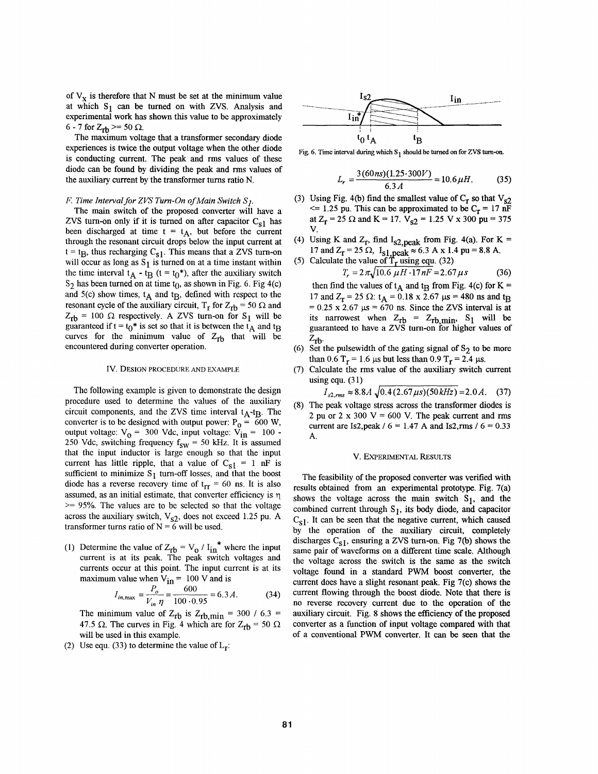of  $V<sub>x</sub>$  is therefore that N must be set at the minimum value at which  $S_1$  can be turned on with ZVS. Analysis and experimental work has shown this value to be approximately  $6 - 7$  for  $Z_{rh} \ge 50 \Omega$ .

The maximum voltage that a transformer secondary diode experiences is twice the output voltage when the other diode is conducting current. The peak and rms values of these diode can be found by dividing the peak and rms values of the auxiliary current by the transformer **turns** ratio N.

# *F. Time* **Interval for** *ZVS* **Turn-On ofMain** *Switch SI.*

The main switch of the proposed converter will have a ZVS turn-on only if it is turned on after capacitor  $C_{c1}$  has been discharged at time  $t = t_A$ , but before the current through the resonant circuit drops below the input current at  $t = t_{\text{B}}$ , thus recharging C<sub>s</sub><sub>1</sub>. This means that a ZVS turn-on will occur as long as  $S_1$  is turned on at a time instant within the time interval  $t_A - t_B$  (t =  $t_0$ <sup>\*</sup>), after the auxiliary switch S2 has been turned on at time **to,** as shown in Fig. **6.** Fig 4(c) and 5(c) show times,  $t_A$  and  $t_B$ , defined with respect to the resonant cycle of the auxiliary circuit,  $T_r$  for  $Z_{rb} = 50 \Omega$  and  $Z_{rb}$  = 100  $\Omega$  respectively. A ZVS turn-on for S<sub>1</sub> will be guaranteed if  $t = t_0^*$  is set so that it is between the  $t_A$  and  $t_B$ curves for the minimum value of  $Z_{rb}$  that will be encountered during converter operation.

#### Iv. DESIGN PROCEDURE AND EXAMPLE

The following example is given to demonstrate the design procedure used to determine the values of the auxiliary circuit components, and the ZVS time interval  $t_A$ -t<sub>B</sub>. The converter is to be designed with output power:  $P_0 = 600$  W, output voltage:  $V_0$  = 300 Vdc, input voltage:  $\tilde{V}_{in}$  = 100 -250 Vdc, switching frequency  $f_{sw} = 50$  kHz. It is assumed that the input inductor is large enough *so* that the input current has little ripple, that a value of  $C_{S1} = 1$  nF is sufficient to minimize  $S_1$  turn-off losses, and that the boost diode has a reverse recovery time of  $t_{rr} = 60$  ns. It is also assumed, as an initial estimate, that converter efliciency is *7*  >= 95%. The values are to be selected so that the voltage across the auxiliary switch,  $V_{S2}$ , does not exceed 1.25 pu. A transformer turns ratio of  $N = 6$  will be used.

(1) Determine the value of  $Z_{rb} = V_0 / I_{in}^*$  where the input current is at its peak. The peak switch voltages and currents occur at this point. The input current is at its maximum value when  $V_{in}$  = 100 V and is

$$
I_{in, \text{max}} = \frac{P_o}{V_{in} \eta} = \frac{600}{100 \cdot 0.95} = 6.3 A. \tag{34}
$$

The minimum value of  $Z_{rb}$  is  $Z_{rb,min} = 300 / 6.3 =$ **47.5**  $\Omega$ **. The curves in Fig. 4 which are for**  $Z_{rb} = 50 \Omega$ will be used in **this** example.

(2) Use equ. (33) to determine the value of  $L_r$ :



Fig. 6. Time interval during which  $S_1$  should be turned on for ZVS turn-on.

$$
L_r = \frac{3(60ns)(1.25 \cdot 300V)}{6.3A} = 10.6 \,\mu H. \tag{35}
$$

- (3) Using Fig. 4(b) find the smallest value of  $C_r$  so that  $V_s$ ?  $\leq$  1.25 pu. This can be approximated to be  $C_r = 17$  nF at  $Z_r = 25 \Omega$  and  $K = 17$ .  $V_{s2} = 1.25$  V x 300 pu = 375 V.
- (4) Using K and  $Z_r$ , find  $I_{S2}$  peak from Fig. 4(a). For K = 17 and  $Z_r = 25 \Omega$ ,  $I_{s1,peak} \approx 6.3 \text{ A} \times 1.4 \text{ pu} = 8.8 \text{ A}$ .<br>
(5) Calculate the value of  $T_r$  using equ. (32)

Calculate the value of T<sub>r</sub> using equ. (32)  
\n
$$
T_r = 2\pi \sqrt{10.6 \mu H \cdot 17 nF} = 2.67 \mu s
$$
\n(36)

then find the values of  $t_A$  and  $t_B$  from Fig. 4(c) for  $K =$ **17** and  $Z_r = 25 \Omega$ :  $t_A = 0.18 \times 2.67 \mu s = 480 \text{ ns and } t_B$  $= 0.25$  x 2.67  $\mu$ s  $= 670$  ns. Since the ZVS interval is at its narrowest when  $Z_{rb} = Z_{rb,min}$ ,  $S_1$  will be guaranteed to have a ZVS turn-on for higher values of

- $\frac{Z_{rb}}{S_2}$ . (6) Set the pulsewidth of the gating signal of S<sub>2</sub> to be more than 0.6  $T_r = 1.6 \mu s$  but less than 0.9  $T_r = 2.4 \mu s$ .
- **(7)** Calculate the rms value of the auxiliary switch current using equ. **(3** 1)

$$
I_{s2,rms} \approx 8.8A \sqrt{0.4(2.67 \mu s)(50 kHz)} = 2.0 A.
$$
 (37)

**(8)** The peak voltage stress across the transformer diodes is 2 pu or  $2 \times 300$  V =  $600$  V. The peak current and rms current are Is2, peak  $/ 6 = 1.47$  A and Is2, rms  $/ 6 = 0.33$ A.

### V. EXPERIMENTAL RESULTS

The feasibility of the proposed converter was verified with results obtained from an experimental prototype. Fig,. **7(a)**  shows the voltage across the main switch  $S_1$ , and the combined current through S<sub>1</sub>, its body diode, and capacitor  $C_{s1}$ . It can be seen that the negative current, which caused by the operation of the auxiliary circuit, completely discharges  $C_{s1}$ , ensuring a ZVS turn-on. Fig 7(b) shows the same pair of waveforms on a different time scale. Although the voltage across the switch is the same as the switch voltage found in a standard PWM boost converter, the current does have a slight resonant peak. Fig **7(c)** shows the current flowing through the boost diode. Note that there is no reverse recovery current due to the operation **of** the auxiliary circuit. Fig. 8 shows the efficiency of the proposed converter as a function of input voltage compared with that of a conventional PWM converter. It can be seen that the